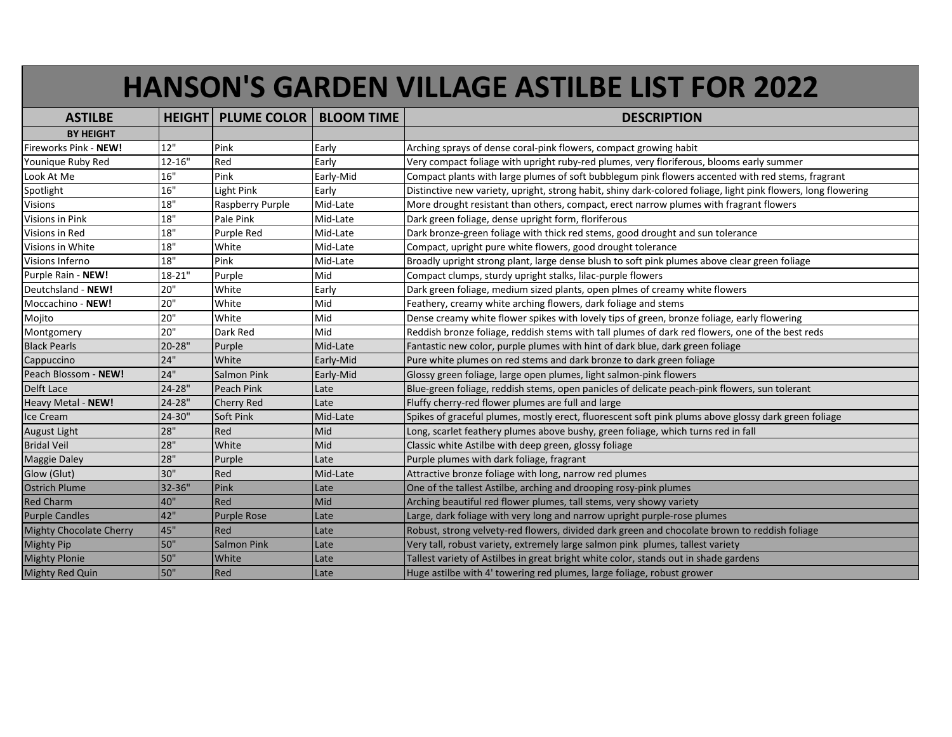## **HANSON'S GARDEN VILLAGE ASTILBE LIST FOR 2022**

| <b>ASTILBE</b>                 |            | <b>HEIGHT PLUME COLOR   BLOOM TIME</b> |           | <b>DESCRIPTION</b>                                                                                             |
|--------------------------------|------------|----------------------------------------|-----------|----------------------------------------------------------------------------------------------------------------|
| <b>BY HEIGHT</b>               |            |                                        |           |                                                                                                                |
| Fireworks Pink - NEW!          | 12"        | Pink                                   | Early     | Arching sprays of dense coral-pink flowers, compact growing habit                                              |
| Younique Ruby Red              | $12 - 16"$ | Red                                    | Early     | Very compact foliage with upright ruby-red plumes, very floriferous, blooms early summer                       |
| Look At Me                     | 16"        | Pink                                   | Early-Mid | Compact plants with large plumes of soft bubblegum pink flowers accented with red stems, fragrant              |
| Spotlight                      | 16"        | Light Pink                             | Early     | Distinctive new variety, upright, strong habit, shiny dark-colored foliage, light pink flowers, long flowering |
| Visions                        | 18"        | Raspberry Purple                       | Mid-Late  | More drought resistant than others, compact, erect narrow plumes with fragrant flowers                         |
| Visions in Pink                | 18"        | Pale Pink                              | Mid-Late  | Dark green foliage, dense upright form, floriferous                                                            |
| Visions in Red                 | $18"$      | Purple Red                             | Mid-Late  | Dark bronze-green foliage with thick red stems, good drought and sun tolerance                                 |
| Visions in White               | 18"        | White                                  | Mid-Late  | Compact, upright pure white flowers, good drought tolerance                                                    |
| Visions Inferno                | 18"        | Pink                                   | Mid-Late  | Broadly upright strong plant, large dense blush to soft pink plumes above clear green foliage                  |
| Purple Rain - NEW!             | $18 - 21"$ | Purple                                 | Mid       | Compact clumps, sturdy upright stalks, lilac-purple flowers                                                    |
| Deutchsland - NEW!             | 20"        | White                                  | Early     | Dark green foliage, medium sized plants, open plmes of creamy white flowers                                    |
| Moccachino - NEW!              | 20"        | White                                  | Mid       | Feathery, creamy white arching flowers, dark foliage and stems                                                 |
| Mojito                         | 20"        | White                                  | Mid       | Dense creamy white flower spikes with lovely tips of green, bronze foliage, early flowering                    |
| Montgomery                     | 20"        | Dark Red                               | Mid       | Reddish bronze foliage, reddish stems with tall plumes of dark red flowers, one of the best reds               |
| <b>Black Pearls</b>            | 20-28"     | Purple                                 | Mid-Late  | Fantastic new color, purple plumes with hint of dark blue, dark green foliage                                  |
| Cappuccino                     | 24"        | White                                  | Early-Mid | Pure white plumes on red stems and dark bronze to dark green foliage                                           |
| Peach Blossom - NEW!           | 24"        | <b>Salmon Pink</b>                     | Early-Mid | Glossy green foliage, large open plumes, light salmon-pink flowers                                             |
| Delft Lace                     | 24-28"     | <b>Peach Pink</b>                      | Late      | Blue-green foliage, reddish stems, open panicles of delicate peach-pink flowers, sun tolerant                  |
| Heavy Metal - NEW!             | 24-28"     | Cherry Red                             | Late      | Fluffy cherry-red flower plumes are full and large                                                             |
| Ice Cream                      | 24-30"     | <b>Soft Pink</b>                       | Mid-Late  | Spikes of graceful plumes, mostly erect, fluorescent soft pink plums above glossy dark green foliage           |
| <b>August Light</b>            | 28"        | Red                                    | Mid       | Long, scarlet feathery plumes above bushy, green foliage, which turns red in fall                              |
| <b>Bridal Veil</b>             | 28"        | White                                  | Mid       | Classic white Astilbe with deep green, glossy foliage                                                          |
| <b>Maggie Daley</b>            | 28"        | Purple                                 | Late      | Purple plumes with dark foliage, fragrant                                                                      |
| Glow (Glut)                    | 30"        | Red                                    | Mid-Late  | Attractive bronze foliage with long, narrow red plumes                                                         |
| <b>Ostrich Plume</b>           | 32-36"     | Pink                                   | Late      | One of the tallest Astilbe, arching and drooping rosy-pink plumes                                              |
| <b>Red Charm</b>               | 40"        | Red                                    | Mid       | Arching beautiful red flower plumes, tall stems, very showy variety                                            |
| <b>Purple Candles</b>          | 42"        | <b>Purple Rose</b>                     | Late      | Large, dark foliage with very long and narrow upright purple-rose plumes                                       |
| <b>Mighty Chocolate Cherry</b> | 45"        | Red                                    | Late      | Robust, strong velvety-red flowers, divided dark green and chocolate brown to reddish foliage                  |
| <b>Mighty Pip</b>              | 50"        | <b>Salmon Pink</b>                     | Late      | Very tall, robust variety, extremely large salmon pink plumes, tallest variety                                 |
| <b>Mighty Plonie</b>           | 50"        | White                                  | Late      | Tallest variety of Astilbes in great bright white color, stands out in shade gardens                           |
| <b>Mighty Red Quin</b>         | 50"        | Red                                    | Late      | Huge astilbe with 4' towering red plumes, large foliage, robust grower                                         |